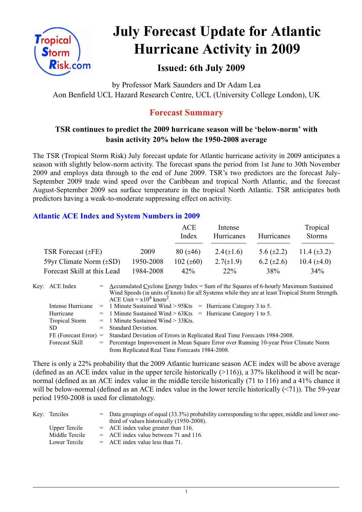

# **July Forecast Update for Atlantic Hurricane Activity in 2009**

# **Issued: 6th July 2009**

by Professor Mark Saunders and Dr Adam Lea Aon Benfield UCL Hazard Research Centre, UCL (University College London), UK

# **Forecast Summary**

## **TSR continues to predict the 2009 hurricane season will be 'below-norm' with basin activity 20% below the 1950-2008 average**

The TSR (Tropical Storm Risk) July forecast update for Atlantic hurricane activity in 2009 anticipates a season with slightly below-norm activity. The forecast spans the period from 1st June to 30th November 2009 and employs data through to the end of June 2009. TSR's two predictors are the forecast July-September 2009 trade wind speed over the Caribbean and tropical North Atlantic, and the forecast August-September 2009 sea surface temperature in the tropical North Atlantic. TSR anticipates both predictors having a weak-to-moderate suppressing effect on activity.

### **Atlantic ACE Index and System Numbers in 2009**

|                              |           | ACE<br>Index   | Intense<br>Hurricanes | Hurricanes        | Tropical<br><b>Storms</b> |
|------------------------------|-----------|----------------|-----------------------|-------------------|---------------------------|
| TSR Forecast $(\pm FE)$      | 2009      | $80 (\pm 46)$  | $2.4(\pm 1.6)$        | 5.6 $(\pm 2.2)$   | 11.4 $(\pm 3.2)$          |
| 59yr Climate Norm $(\pm SD)$ | 1950-2008 | 102 $(\pm 60)$ | $2.7(\pm 1.9)$        | $6.2 \ (\pm 2.6)$ | 10.4 $(\pm 4.0)$          |
| Forecast Skill at this Lead  | 1984-2008 | 42%            | $22\%$                | 38%               | $34\%$                    |

| Key: ACE Index          | $=$ Accumulated Cyclone Energy Index = Sum of the Squares of 6-hourly Maximum Sustained<br>Wind Speeds (in units of knots) for all Systems while they are at least Tropical Storm Strength.<br>ACE Unit = $x10^4$ knots <sup>2</sup> . |  |  |  |  |
|-------------------------|----------------------------------------------------------------------------------------------------------------------------------------------------------------------------------------------------------------------------------------|--|--|--|--|
| Intense Hurricane       | $=$ 1 Minute Sustained Wind > 95Kts $=$ Hurricane Category 3 to 5.                                                                                                                                                                     |  |  |  |  |
| Hurricane               | $=$ 1 Minute Sustained Wind > 63Kts $=$ Hurricane Category 1 to 5.                                                                                                                                                                     |  |  |  |  |
| Tropical Storm          | $=$ 1 Minute Sustained Wind $>$ 33Kts.                                                                                                                                                                                                 |  |  |  |  |
| SD.                     | $=$ Standard Deviation.                                                                                                                                                                                                                |  |  |  |  |
| $FE$ (Forecast Error) = | Standard Deviation of Errors in Replicated Real Time Forecasts 1984-2008.                                                                                                                                                              |  |  |  |  |
| Forecast Skill          | = Percentage Improvement in Mean Square Error over Running 10-year Prior Climate Norm                                                                                                                                                  |  |  |  |  |
|                         | from Replicated Real Time Forecasts 1984-2008.                                                                                                                                                                                         |  |  |  |  |

There is only a 22% probability that the 2009 Atlantic hurricane season ACE index will be above average (defined as an ACE index value in the upper tercile historically  $(>116)$ ), a 37% likelihood it will be nearnormal (defined as an ACE index value in the middle tercile historically (71 to 116) and a 41% chance it will be below-normal (defined as an ACE index value in the lower tercile historically (<71)). The 59-year period 1950-2008 is used for climatology.

| Key: Terciles  | $=$ Data groupings of equal (33.3%) probability corresponding to the upper, middle and lower one-<br>third of values historically (1950-2008). |
|----------------|------------------------------------------------------------------------------------------------------------------------------------------------|
| Upper Tercile  | $=$ ACE index value greater than 116.                                                                                                          |
| Middle Tercile | $=$ ACE index value between 71 and 116.                                                                                                        |
| Lower Tercile  | $=$ ACE index value less than 71.                                                                                                              |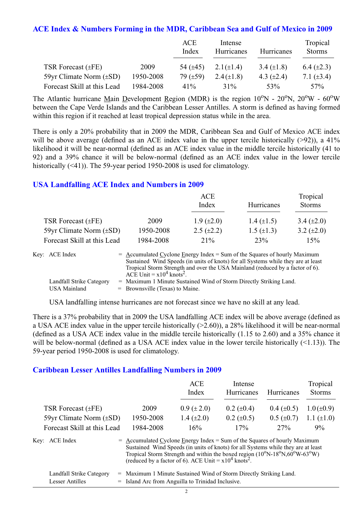#### **ACE Index & Numbers Forming in the MDR, Caribbean Sea and Gulf of Mexico in 2009**

|                              |           | ACE<br>Index  | Intense<br>Hurricanes | Hurricanes      | Tropical<br><b>Storms</b> |
|------------------------------|-----------|---------------|-----------------------|-----------------|---------------------------|
| TSR Forecast $(\pm FE)$      | 2009      | 54 $(\pm 45)$ | 2.1( $\pm$ 1.4)       | 3.4 $(\pm 1.8)$ | 6.4 $(\pm 2.3)$           |
| 59yr Climate Norm $(\pm SD)$ | 1950-2008 | 79 $(\pm 59)$ | $2.4(\pm 1.8)$        | 4.3 $(\pm 2.4)$ | 7.1 $(\pm 3.4)$           |
| Forecast Skill at this Lead  | 1984-2008 | $41\%$        | 31%                   | 53%             | 57%                       |

The Atlantic hurricane Main Development Region (MDR) is the region  $10^{\circ}$ N -  $20^{\circ}$ N,  $20^{\circ}$ W -  $60^{\circ}$ W between the Cape Verde Islands and the Caribbean Lesser Antilles. A storm is defined as having formed within this region if it reached at least tropical depression status while in the area.

There is only a 20% probability that in 2009 the MDR, Caribbean Sea and Gulf of Mexico ACE index will be above average (defined as an ACE index value in the upper tercile historically (>92)), a 41% likelihood it will be near-normal (defined as an ACE index value in the middle tercile historically (41 to 92) and a 39% chance it will be below-normal (defined as an ACE index value in the lower tercile historically (<41)). The 59-year period 1950-2008 is used for climatology.

#### **USA Landfalling ACE Index and Numbers in 2009**

|                              |           | ACE<br>Index      | Hurricanes        | Tropical<br><b>Storms</b> |
|------------------------------|-----------|-------------------|-------------------|---------------------------|
| TSR Forecast $(\pm FE)$      | 2009      | $1.9 \ (\pm 2.0)$ | 1.4 $(\pm 1.5)$   | 3.4 $(\pm 2.0)$           |
| 59yr Climate Norm $(\pm SD)$ | 1950-2008 | $2.5 \ (\pm 2.2)$ | $1.5 \ (\pm 1.3)$ | 3.2 $(\pm 2.0)$           |
| Forecast Skill at this Lead  | 1984-2008 | 21%               | 23%               | 15%                       |

| Key: ACE Index           | $=$ Accumulated Cyclone Energy Index $=$ Sum of the Squares of hourly Maximum     |
|--------------------------|-----------------------------------------------------------------------------------|
|                          | Sustained Wind Speeds (in units of knots) for all Systems while they are at least |
|                          | Tropical Storm Strength and over the USA Mainland (reduced by a factor of 6).     |
|                          | ACE Unit = $x10^4$ knots <sup>2</sup> .                                           |
| Landfall Strike Category | = Maximum 1 Minute Sustained Wind of Storm Directly Striking Land.                |
| USA Mainland             | $=$ Brownsville (Texas) to Maine.                                                 |

USA landfalling intense hurricanes are not forecast since we have no skill at any lead.

There is a 37% probability that in 2009 the USA landfalling ACE index will be above average (defined as a USA ACE index value in the upper tercile historically (>2.60)), a 28% likelihood it will be near-normal (defined as a USA ACE index value in the middle tercile historically (1.15 to 2.60) and a 35% chance it will be below-normal (defined as a USA ACE index value in the lower tercile historically  $($ <1.13)). The 59-year period 1950-2008 is used for climatology.

#### **Caribbean Lesser Antilles Landfalling Numbers in 2009**

|                              |                                                                                                                                                                                                                                                                                                                                                    | ACE<br>Index    | Intense<br>Hurricanes | Hurricanes        | Tropical<br><b>Storms</b> |  |
|------------------------------|----------------------------------------------------------------------------------------------------------------------------------------------------------------------------------------------------------------------------------------------------------------------------------------------------------------------------------------------------|-----------------|-----------------------|-------------------|---------------------------|--|
| TSR Forecast $(\pm FE)$      | 2009                                                                                                                                                                                                                                                                                                                                               | $0.9 (\pm 2.0)$ | $0.2 \ (\pm 0.4)$     | $0.4 \ (\pm 0.5)$ | $1.0 (\pm 0.9)$           |  |
| 59yr Climate Norm $(\pm SD)$ | 1950-2008                                                                                                                                                                                                                                                                                                                                          | 1.4 $(\pm 2.0)$ | $0.2 \ (\pm 0.5)$     | $0.5 (\pm 0.7)$   | 1.1 $(\pm 1.0)$           |  |
| Forecast Skill at this Lead  | 1984-2008                                                                                                                                                                                                                                                                                                                                          | 16%             | 17%                   | 27%               | 9%                        |  |
| Key: ACE Index               | $=$ Accumulated Cyclone Energy Index = Sum of the Squares of hourly Maximum<br>Sustained Wind Speeds (in units of knots) for all Systems while they are at least<br>Tropical Storm Strength and within the boxed region $(10^{\circ}N-18^{\circ}N,60^{\circ}W-63^{\circ}W)$<br>(reduced by a factor of 6). ACE Unit = $x10^4$ knots <sup>2</sup> . |                 |                       |                   |                           |  |

| Landfall Strike Category | = Maximum 1 Minute Sustained Wind of Storm Directly Striking Land. |
|--------------------------|--------------------------------------------------------------------|
| Lesser Antilles          | = Island Arc from Anguilla to Trinidad Inclusive.                  |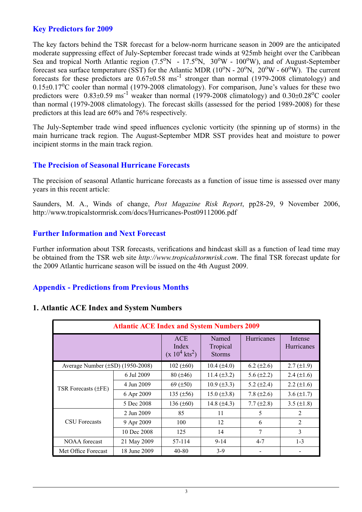#### **Key Predictors for 2009**

The key factors behind the TSR forecast for a below-norm hurricane season in 2009 are the anticipated moderate suppressing effect of July-September forecast trade winds at 925mb height over the Caribbean Sea and tropical North Atlantic region  $(7.5^{\circ}N - 17.5^{\circ}N, 30^{\circ}W - 100^{\circ}W)$ , and of August-September forecast sea surface temperature (SST) for the Atlantic MDR  $(10^{\circ}N - 20^{\circ}N, 20^{\circ}W - 60^{\circ}W)$ . The current forecasts for these predictors are 0.67±0.58 ms-1 stronger than normal (1979-2008 climatology) and  $0.15\pm0.17\text{°C}$  cooler than normal (1979-2008 climatology). For comparison, June's values for these two predictors were  $0.83\pm0.59$  ms<sup>-1</sup> weaker than normal (1979-2008 climatology) and  $0.30\pm0.28$ <sup>o</sup>C cooler than normal (1979-2008 climatology). The forecast skills (assessed for the period 1989-2008) for these predictors at this lead are 60% and 76% respectively.

The July-September trade wind speed influences cyclonic vorticity (the spinning up of storms) in the main hurricane track region. The August-September MDR SST provides heat and moisture to power incipient storms in the main track region.

#### **The Precision of Seasonal Hurricane Forecasts**

The precision of seasonal Atlantic hurricane forecasts as a function of issue time is assessed over many years in this recent article:

Saunders, M. A., Winds of change, *Post Magazine Risk Report*, pp28-29, 9 November 2006, http://www.tropicalstormrisk.com/docs/Hurricanes-Post09112006.pdf

#### **Further Information and Next Forecast**

Further information about TSR forecasts, verifications and hindcast skill as a function of lead time may be obtained from the TSR web site *http://www.tropicalstormrisk.com*. The final TSR forecast update for the 2009 Atlantic hurricane season will be issued on the 4th August 2009.

#### **Appendix - Predictions from Previous Months**

| <b>Atlantic ACE Index and System Numbers 2009</b> |              |                                                     |                                    |                 |                              |  |  |
|---------------------------------------------------|--------------|-----------------------------------------------------|------------------------------------|-----------------|------------------------------|--|--|
|                                                   |              | <b>ACE</b><br>Index<br>$(x 10^4$ kts <sup>2</sup> ) | Named<br>Tropical<br><b>Storms</b> | Hurricanes      | Intense<br><b>Hurricanes</b> |  |  |
| Average Number $(\pm SD)$ (1950-2008)             |              | $102 (\pm 60)$                                      | $10.4 (\pm 4.0)$                   | $6.2 (\pm 2.6)$ | $2.7 (\pm 1.9)$              |  |  |
| TSR Forecasts (±FE)                               | 6 Jul 2009   | $80 (\pm 46)$                                       | $11.4 (\pm 3.2)$                   | 5.6 $(\pm 2.2)$ | 2.4 $(\pm 1.6)$              |  |  |
|                                                   | 4 Jun 2009   | 69 $(\pm 50)$                                       | $10.9 \ (\pm 3.3)$                 | 5.2 $(\pm 2.4)$ | $2.2 \ (\pm 1.6)$            |  |  |
|                                                   | 6 Apr 2009   | 135 $(\pm 56)$                                      | $15.0 (\pm 3.8)$                   | 7.8 $(\pm 2.6)$ | 3.6 $(\pm 1.7)$              |  |  |
|                                                   | 5 Dec 2008   | 136 $(\pm 60)$                                      | 14.8 $(\pm 4.3)$                   | 7.7 $(\pm 2.8)$ | 3.5 $(\pm 1.8)$              |  |  |
|                                                   | 2 Jun 2009   | 85                                                  | 11                                 | 5               | $\overline{2}$               |  |  |
| <b>CSU</b> Forecasts                              | 9 Apr 2009   | 100                                                 | 12                                 | 6               | $\overline{2}$               |  |  |
|                                                   | 10 Dec 2008  | 125                                                 | 14                                 | $\tau$          | 3                            |  |  |
| <b>NOAA</b> forecast                              | 21 May 2009  | 57-114                                              | $9 - 14$                           | $4 - 7$         | $1 - 3$                      |  |  |
| Met Office Forecast                               | 18 June 2009 | 40-80                                               | $3-9$                              |                 |                              |  |  |

#### **1. Atlantic ACE Index and System Numbers**